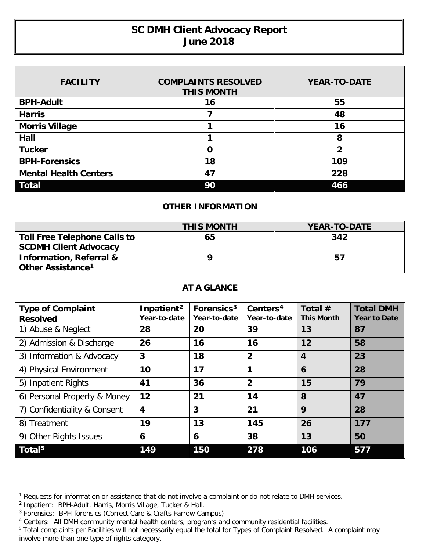## **SC DMH Client Advocacy Report June 2018**

| <b>FACILITY</b>              | <b>COMPLAINTS RESOLVED</b><br><b>THIS MONTH</b> | <b>YEAR-TO-DATE</b> |
|------------------------------|-------------------------------------------------|---------------------|
| <b>BPH-Adult</b>             | 16                                              | 55                  |
| <b>Harris</b>                |                                                 | 48                  |
| <b>Morris Village</b>        |                                                 | 16                  |
| Hall                         |                                                 | 8                   |
| <b>Tucker</b>                | O                                               | 2                   |
| <b>BPH-Forensics</b>         | 18                                              | 109                 |
| <b>Mental Health Centers</b> | 47                                              | 228                 |
| <b>Total</b>                 | 90                                              | 466                 |

## **OTHER INFORMATION**

|                                                                     | <b>THIS MONTH</b> | <b>YEAR-TO-DATE</b> |
|---------------------------------------------------------------------|-------------------|---------------------|
| Toll Free Telephone Calls to<br><b>SCDMH Client Advocacy</b>        | 65                | 342                 |
| <b>Information, Referral &amp;</b><br>Other Assistance <sup>1</sup> |                   | 57                  |

## **AT A GLANCE**

| <b>Type of Complaint</b><br><b>Resolved</b> | Inpatient <sup>2</sup><br>Year-to-date | Forensics <sup>3</sup><br>Year-to-date | Centers <sup>4</sup><br>Year-to-date | Total $#$<br><b>This Month</b> | <b>Total DMH</b><br><b>Year to Date</b> |
|---------------------------------------------|----------------------------------------|----------------------------------------|--------------------------------------|--------------------------------|-----------------------------------------|
| 1) Abuse & Neglect                          | 28                                     | 20                                     | 39                                   | 13                             | 87                                      |
| 2) Admission & Discharge                    | 26                                     | 16                                     | 16                                   | 12                             | 58                                      |
| 3) Information & Advocacy                   | 3                                      | 18                                     | $\overline{2}$                       | $\boldsymbol{4}$               | 23                                      |
| 4) Physical Environment                     | 10                                     | 17                                     | 1                                    | 6                              | 28                                      |
| 5) Inpatient Rights                         | 41                                     | 36                                     | $\overline{2}$                       | 15                             | 79                                      |
| 6) Personal Property & Money                | 12                                     | 21                                     | 14                                   | 8                              | 47                                      |
| 7) Confidentiality & Consent                | $\overline{\mathbf{4}}$                | 3                                      | 21                                   | 9                              | 28                                      |
| 8) Treatment                                | 19                                     | 13                                     | 145                                  | 26                             | 177                                     |
| 9) Other Rights Issues                      | 6                                      | 6                                      | 38                                   | 13                             | 50                                      |
| Total <sup>5</sup>                          | 149                                    | 150                                    | 278                                  | 106                            | 577                                     |

 $\overline{a}$ 

<span id="page-0-0"></span><sup>&</sup>lt;sup>1</sup> Requests for information or assistance that do not involve a complaint or do not relate to DMH services.

<span id="page-0-1"></span><sup>&</sup>lt;sup>2</sup> Inpatient: BPH-Adult, Harris, Morris Village, Tucker & Hall.

<span id="page-0-2"></span><sup>&</sup>lt;sup>3</sup> Forensics: BPH-forensics (Correct Care & Crafts Farrow Campus).

<span id="page-0-3"></span><sup>4</sup> Centers: All DMH community mental health centers, programs and community residential facilities.

<span id="page-0-4"></span><sup>&</sup>lt;sup>5</sup> Total complaints per Facilities will not necessarily equal the total for Types of Complaint Resolved. A complaint may involve more than one type of rights category.